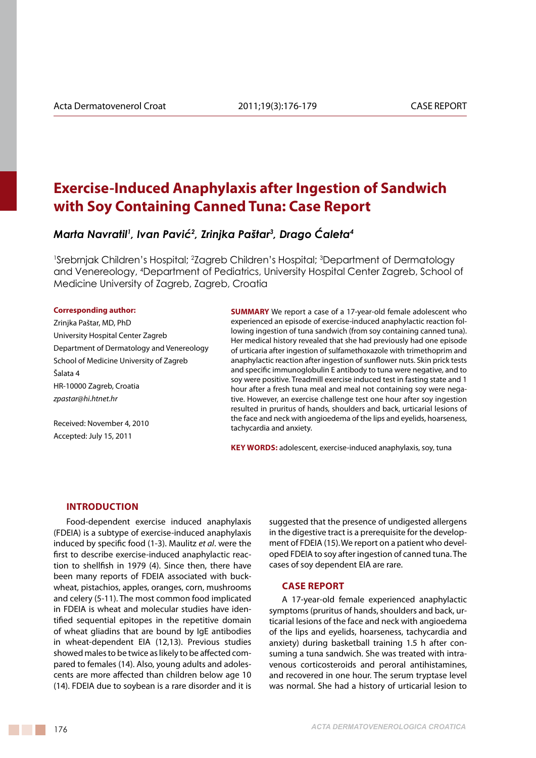# **Exercise-Induced Anaphylaxis after Ingestion of Sandwich with Soy Containing Canned Tuna: Case Report**

*Marta Navratil1 , Ivan Pavić<sup>2</sup> , Zrinjka Paštar3 , Drago Ćaleta<sup>4</sup>*

<sup>1</sup>Srebrnjak Children's Hospital; <sup>2</sup>Zagreb Children's Hospital; <sup>3</sup>Department of Dermatology and Venereology, 4 Department of Pediatrics, University Hospital Center Zagreb, School of Medicine University of Zagreb, Zagreb, Croatia

### **Corresponding author:**

Zrinjka Paštar, MD, PhD University Hospital Center Zagreb Department of Dermatology and Venereology School of Medicine University of Zagreb Šalata 4 HR-10000 Zagreb, Croatia *zpastar@hi.htnet.hr*

Received: November 4, 2010 Accepted: July 15, 2011

**SUMMARY** We report a case of a 17-year-old female adolescent who experienced an episode of exercise-induced anaphylactic reaction following ingestion of tuna sandwich (from soy containing canned tuna). Her medical history revealed that she had previously had one episode of urticaria after ingestion of sulfamethoxazole with trimethoprim and anaphylactic reaction after ingestion of sunflower nuts. Skin prick tests and specific immunoglobulin E antibody to tuna were negative, and to soy were positive. Treadmill exercise induced test in fasting state and 1 hour after a fresh tuna meal and meal not containing soy were negative. However, an exercise challenge test one hour after soy ingestion resulted in pruritus of hands, shoulders and back, urticarial lesions of the face and neck with angioedema of the lips and eyelids, hoarseness, tachycardia and anxiety.

**KEY WORDS:** adolescent, exercise-induced anaphylaxis, soy, tuna

### **Introduction**

Food-dependent exercise induced anaphylaxis (FDEIA) is a subtype of exercise-induced anaphylaxis induced by specific food (1-3). Maulitz *et al*. were the first to describe exercise-induced anaphylactic reaction to shellfish in 1979 (4). Since then, there have been many reports of FDEIA associated with buckwheat, pistachios, apples, oranges, corn, mushrooms and celery (5-11). The most common food implicated in FDEIA is wheat and molecular studies have identified sequential epitopes in the repetitive domain of wheat gliadins that are bound by IgE antibodies in wheat-dependent EIA (12,13). Previous studies showed males to be twice as likely to be affected compared to females (14). Also, young adults and adolescents are more affected than children below age 10 (14). FDEIA due to soybean is a rare disorder and it is

suggested that the presence of undigested allergens in the digestive tract is a prerequisite for the development of FDEIA (15).We report on a patient who developed FDEIA to soy after ingestion of canned tuna. The cases of soy dependent EIA are rare.

## **Case Report**

A 17-year-old female experienced anaphylactic symptoms (pruritus of hands, shoulders and back, urticarial lesions of the face and neck with angioedema of the lips and eyelids, hoarseness, tachycardia and anxiety) during basketball training 1.5 h after consuming a tuna sandwich. She was treated with intravenous corticosteroids and peroral antihistamines, and recovered in one hour. The serum tryptase level was normal. She had a history of urticarial lesion to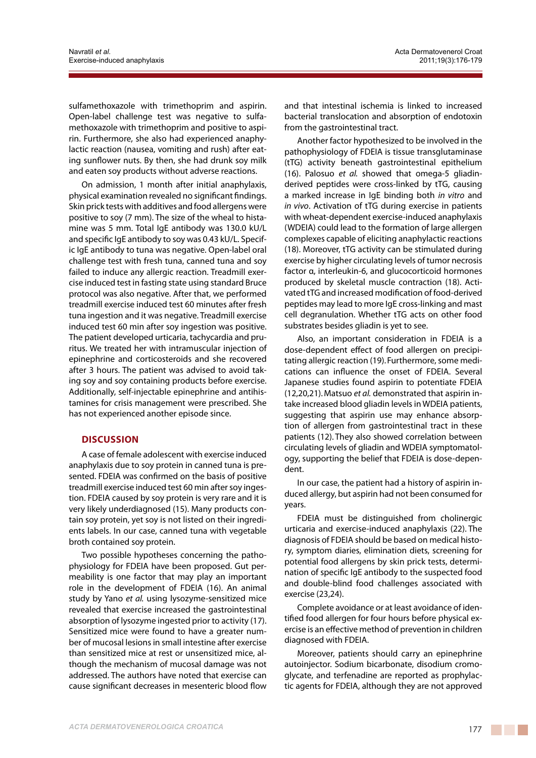sulfamethoxazole with trimethoprim and aspirin. Open-label challenge test was negative to sulfamethoxazole with trimethoprim and positive to aspirin. Furthermore, she also had experienced anaphylactic reaction (nausea, vomiting and rush) after eating sunflower nuts. By then, she had drunk soy milk and eaten soy products without adverse reactions.

On admission, 1 month after initial anaphylaxis, physical examination revealed no significant findings. Skin prick tests with additives and food allergens were positive to soy (7 mm). The size of the wheal to histamine was 5 mm. Total IgE antibody was 130.0 kU/L and specific IgE antibody to soy was 0.43 kU/L. Specific IgE antibody to tuna was negative. Open-label oral challenge test with fresh tuna, canned tuna and soy failed to induce any allergic reaction. Treadmill exercise induced test in fasting state using standard Bruce protocol was also negative. After that, we performed treadmill exercise induced test 60 minutes after fresh tuna ingestion and it was negative. Treadmill exercise induced test 60 min after soy ingestion was positive. The patient developed urticaria, tachycardia and pruritus. We treated her with intramuscular injection of epinephrine and corticosteroids and she recovered after 3 hours. The patient was advised to avoid taking soy and soy containing products before exercise. Additionally, self-injectable epinephrine and antihistamines for crisis management were prescribed. She has not experienced another episode since.

# **Discussion**

A case of female adolescent with exercise induced anaphylaxis due to soy protein in canned tuna is presented. FDEIA was confirmed on the basis of positive treadmill exercise induced test 60 min after soy ingestion. FDEIA caused by soy protein is very rare and it is very likely underdiagnosed (15). Many products contain soy protein, yet soy is not listed on their ingredients labels. In our case, canned tuna with vegetable broth contained soy protein.

Two possible hypotheses concerning the pathophysiology for FDEIA have been proposed. Gut permeability is one factor that may play an important role in the development of FDEIA (16). An animal study by Yano *et al.* using lysozyme-sensitized mice revealed that exercise increased the gastrointestinal absorption of lysozyme ingested prior to activity (17). Sensitized mice were found to have a greater number of mucosal lesions in small intestine after exercise than sensitized mice at rest or unsensitized mice, although the mechanism of mucosal damage was not addressed. The authors have noted that exercise can cause significant decreases in mesenteric blood flow and that intestinal ischemia is linked to increased bacterial translocation and absorption of endotoxin from the gastrointestinal tract.

Another factor hypothesized to be involved in the pathophysiology of FDEIA is tissue transglutaminase (tTG) activity beneath gastrointestinal epithelium (16). Palosuo *et al.* showed that omega-5 gliadinderived peptides were cross-linked by tTG, causing a marked increase in IgE binding both *in vitro* and *in vivo*. Activation of tTG during exercise in patients with wheat-dependent exercise-induced anaphylaxis (WDEIA) could lead to the formation of large allergen complexes capable of eliciting anaphylactic reactions (18). Moreover, tTG activity can be stimulated during exercise by higher circulating levels of tumor necrosis factor α, interleukin-6, and glucocorticoid hormones produced by skeletal muscle contraction (18). Activated tTG and increased modification of food-derived peptides may lead to more IgE cross-linking and mast cell degranulation. Whether tTG acts on other food substrates besides gliadin is yet to see.

Also, an important consideration in FDEIA is a dose-dependent effect of food allergen on precipitating allergic reaction (19).Furthermore, some medications can influence the onset of FDEIA. Several Japanese studies found aspirin to potentiate FDEIA (12,20,21).Matsuo *et al.* demonstrated that aspirin intake increased blood gliadin levels in WDEIA patients, suggesting that aspirin use may enhance absorption of allergen from gastrointestinal tract in these patients (12). They also showed correlation between circulating levels of gliadin and WDEIA symptomatology, supporting the belief that FDEIA is dose-dependent.

In our case, the patient had a history of aspirin induced allergy, but aspirin had not been consumed for years.

FDEIA must be distinguished from cholinergic urticaria and exercise-induced anaphylaxis (22). The diagnosis of FDEIA should be based on medical history, symptom diaries, elimination diets, screening for potential food allergens by skin prick tests, determination of specific IgE antibody to the suspected food and double-blind food challenges associated with exercise (23,24).

Complete avoidance or at least avoidance of identified food allergen for four hours before physical exercise is an effective method of prevention in children diagnosed with FDEIA.

Moreover, patients should carry an epinephrine autoinjector. Sodium bicarbonate, disodium cromoglycate, and terfenadine are reported as prophylactic agents for FDEIA, although they are not approved

<u> Barat Barat Barat Barat Barat Barat Barat Barat Barat Barat Barat Barat Barat Barat Barat Barat Barat Barat Barat Barat Barat Barat Barat Barat Barat Barat Barat Barat Barat Barat Barat Barat Barat Barat Barat Barat Bara</u>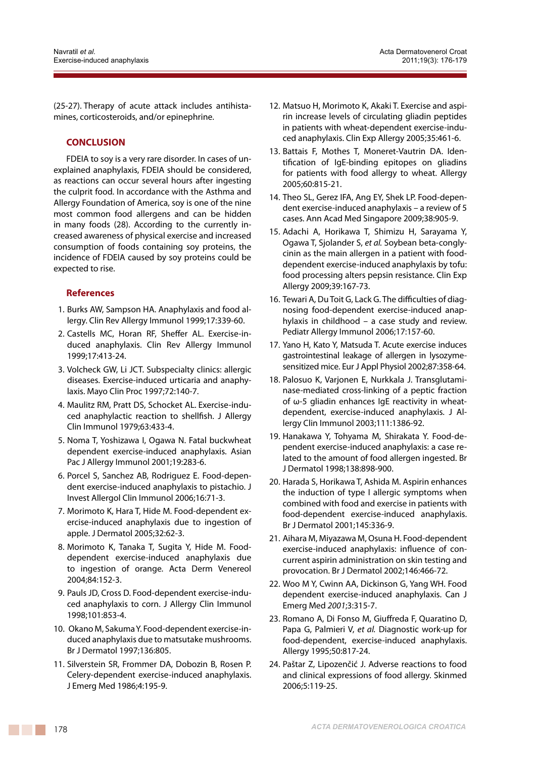(25-27). Therapy of acute attack includes antihistamines, corticosteroids, and/or epinephrine.

## **CONCLUSION**

FDEIA to soy is a very rare disorder. In cases of unexplained anaphylaxis, FDEIA should be considered, as reactions can occur several hours after ingesting the culprit food. In accordance with the Asthma and Allergy Foundation of America, soy is one of the nine most common food allergens and can be hidden in many foods (28). According to the currently increased awareness of physical exercise and increased consumption of foods containing soy proteins, the incidence of FDEIA caused by soy proteins could be expected to rise.

# **References**

- 1. Burks AW, Sampson HA. Anaphylaxis and food allergy. Clin Rev Allergy Immunol 1999;17:339-60.
- 2. Castells MC, Horan RF, Sheffer AL. Exercise-induced anaphylaxis. Clin Rev Allergy Immunol 1999;17:413-24.
- 3. Volcheck GW, Li JCT. Subspecialty clinics: allergic diseases. Exercise-induced urticaria and anaphylaxis. Mayo Clin Proc 1997;72:140-7.
- 4. Maulitz RM, Pratt DS, Schocket AL. Exercise-induced anaphylactic reaction to shellfish. J Allergy Clin Immunol 1979;63:433-4.
- 5. Noma T, Yoshizawa I, Ogawa N. Fatal buckwheat dependent exercise-induced anaphylaxis. Asian Pac J Allergy Immunol 2001;19:283-6.
- 6. Porcel S, Sanchez AB, Rodriguez E. Food-dependent exercise-induced anaphylaxis to pistachio. J Invest Allergol Clin Immunol 2006;16:71-3.
- 7. Morimoto K, Hara T, Hide M. Food-dependent exercise-induced anaphylaxis due to ingestion of apple. J Dermatol 2005;32:62-3.
- 8. Morimoto K, Tanaka T, Sugita Y, Hide M. Fooddependent exercise-induced anaphylaxis due to ingestion of orange. Acta Derm Venereol 2004;84:152-3.
- 9. Pauls JD, Cross D. Food-dependent exercise-induced anaphylaxis to corn. J Allergy Clin Immunol 1998;101:853-4.
- 10. Okano M, Sakuma Y. Food-dependent exercise-induced anaphylaxis due to matsutake mushrooms. Br J Dermatol 1997;136:805.
- 11. Silverstein SR, Frommer DA, Dobozin B, Rosen P. Celery-dependent exercise-induced anaphylaxis. J Emerg Med 1986;4:195-9.
- 12. Matsuo H, Morimoto K, Akaki T. Exercise and aspirin increase levels of circulating gliadin peptides in patients with wheat-dependent exercise-induced anaphylaxis. Clin Exp Allergy 2005;35:461-6.
- 13. Battais F, Mothes T, Moneret-Vautrin DA. Identification of IgE-binding epitopes on gliadins for patients with food allergy to wheat. Allergy 2005;60:815-21.
- 14. Theo SL, Gerez IFA, Ang EY, Shek LP. Food-dependent exercise-induced anaphylaxis – a review of 5 cases. Ann Acad Med Singapore 2009;38:905-9.
- 15. Adachi A, Horikawa T, Shimizu H, Sarayama Y, Ogawa T, Sjolander S, *et al.* Soybean beta-conglycinin as the main allergen in a patient with fooddependent exercise-induced anaphylaxis by tofu: food processing alters pepsin resistance. Clin Exp Allergy 2009;39:167-73.
- 16. Tewari A, Du Toit G, Lack G. The difficulties of diagnosing food-dependent exercise-induced anaphylaxis in childhood – a case study and review. Pediatr Allergy Immunol 2006;17:157-60.
- 17. Yano H, Kato Y, Matsuda T. Acute exercise induces gastrointestinal leakage of allergen in lysozymesensitized mice. Eur J Appl Physiol 2002;87:358-64.
- 18. Palosuo K, Varjonen E, Nurkkala J. Transglutaminase-mediated cross-linking of a peptic fraction of ω-5 gliadin enhances IgE reactivity in wheatdependent, exercise-induced anaphylaxis. J Allergy Clin Immunol 2003;111:1386-92.
- 19. Hanakawa Y, Tohyama M, Shirakata Y. Food-dependent exercise-induced anaphylaxis: a case related to the amount of food allergen ingested. Br J Dermatol 1998;138:898-900.
- 20. Harada S, Horikawa T, Ashida M. Aspirin enhances the induction of type I allergic symptoms when combined with food and exercise in patients with food-dependent exercise-induced anaphylaxis. Br J Dermatol 2001;145:336-9.
- 21. Aihara M, Miyazawa M, Osuna H. Food-dependent exercise-induced anaphylaxis: influence of concurrent aspirin administration on skin testing and provocation. Br J Dermatol 2002;146:466-72.
- 22. Woo M Y, Cwinn AA, Dickinson G, Yang WH. Food dependent exercise-induced anaphylaxis. Can J Emerg Med *2001*;3:315-7.
- 23. Romano A, Di Fonso M, Giuffreda F, Quaratino D, Papa G, Palmieri V, *et al.* Diagnostic work-up for food-dependent, exercise-induced anaphylaxis. Allergy 1995;50:817-24.
- 24. Paštar Z, Lipozenčić J. Adverse reactions to food and clinical expressions of food allergy. Skinmed 2006;5:119-25.